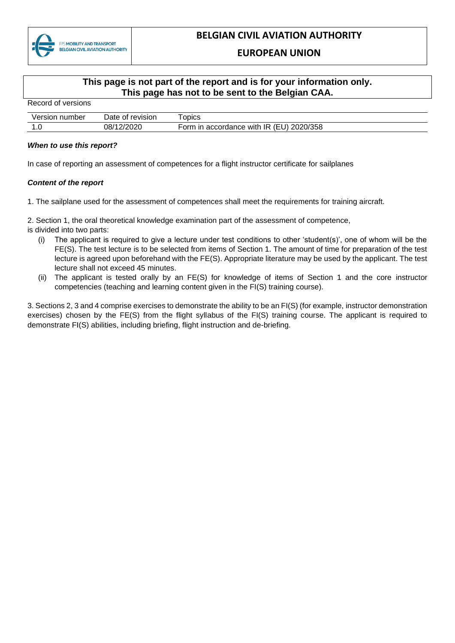

## **EUROPEAN UNION**

## **This page is not part of the report and is for your information only. This page has not to be sent to the Belgian CAA.**

Record of versions

| Version<br>number | Date of revision | ODICS                                            |
|-------------------|------------------|--------------------------------------------------|
| . . ب             | 08/12/2020       | 2020/358<br>` (EU,<br>Form in accordance with IR |

## *When to use this report?*

In case of reporting an assessment of competences for a flight instructor certificate for sailplanes

## *Content of the report*

1. The sailplane used for the assessment of competences shall meet the requirements for training aircraft.

2. Section 1, the oral theoretical knowledge examination part of the assessment of competence,

- is divided into two parts:
	- (i) The applicant is required to give a lecture under test conditions to other 'student(s)', one of whom will be the FE(S). The test lecture is to be selected from items of Section 1. The amount of time for preparation of the test lecture is agreed upon beforehand with the FE(S). Appropriate literature may be used by the applicant. The test lecture shall not exceed 45 minutes.
	- (ii) The applicant is tested orally by an FE(S) for knowledge of items of Section 1 and the core instructor competencies (teaching and learning content given in the FI(S) training course).

3. Sections 2, 3 and 4 comprise exercises to demonstrate the ability to be an FI(S) (for example, instructor demonstration exercises) chosen by the FE(S) from the flight syllabus of the FI(S) training course. The applicant is required to demonstrate FI(S) abilities, including briefing, flight instruction and de-briefing.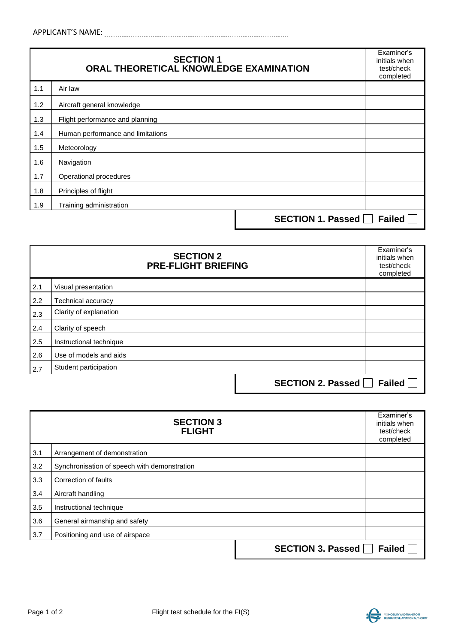|     | <b>SECTION 1</b><br>ORAL THEORETICAL KNOWLEDGE EXAMINATION |                   | Examiner's<br>initials when<br>test/check<br>completed |
|-----|------------------------------------------------------------|-------------------|--------------------------------------------------------|
| 1.1 | Air law                                                    |                   |                                                        |
| 1.2 | Aircraft general knowledge                                 |                   |                                                        |
| 1.3 | Flight performance and planning                            |                   |                                                        |
| 1.4 | Human performance and limitations                          |                   |                                                        |
| 1.5 | Meteorology                                                |                   |                                                        |
| 1.6 | Navigation                                                 |                   |                                                        |
| 1.7 | Operational procedures                                     |                   |                                                        |
| 1.8 | Principles of flight                                       |                   |                                                        |
| 1.9 | Training administration                                    |                   |                                                        |
|     |                                                            | SECTION 1. Passed | <b>Failed</b>                                          |

| <b>SECTION 2</b><br><b>PRE-FLIGHT BRIEFING</b> |                          | Examiner's<br>initials when<br>test/check<br>completed |
|------------------------------------------------|--------------------------|--------------------------------------------------------|
| 2.1                                            | Visual presentation      |                                                        |
| 2.2                                            | Technical accuracy       |                                                        |
| 2.3                                            | Clarity of explanation   |                                                        |
| 2.4                                            | Clarity of speech        |                                                        |
| 2.5                                            | Instructional technique  |                                                        |
| 2.6                                            | Use of models and aids   |                                                        |
| 2.7                                            | Student participation    |                                                        |
|                                                | <b>SECTION 2. Passed</b> | <b>Failed</b>                                          |

| <b>SECTION 3</b><br><b>FLIGHT</b> |                                              | Examiner's<br>initials when<br>test/check<br>completed |
|-----------------------------------|----------------------------------------------|--------------------------------------------------------|
| 3.1                               | Arrangement of demonstration                 |                                                        |
| 3.2                               | Synchronisation of speech with demonstration |                                                        |
| 3.3                               | Correction of faults                         |                                                        |
| 3.4                               | Aircraft handling                            |                                                        |
| 3.5                               | Instructional technique                      |                                                        |
| 3.6                               | General airmanship and safety                |                                                        |
| 3.7                               | Positioning and use of airspace              |                                                        |
|                                   | <b>SECTION 3. Passed</b>                     | <b>Failed</b>                                          |